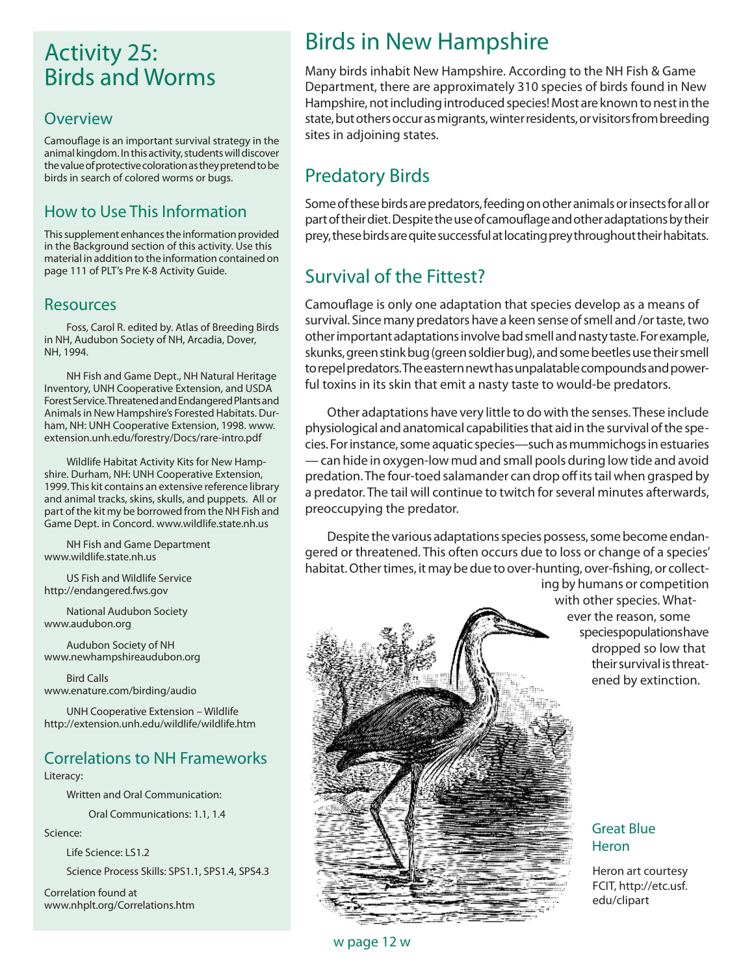# Activity 25: Birds and Worms

#### **Overview**

Camouflage is an important survival strategy in the animal kingdom. In this activity, students will discover the value of protective coloration as they pretend to be birds in search of colored worms or bugs.

### How to Use This Information

This supplement enhances the information provided in the Background section of this activity. Use this material in addition to the information contained on page 111 of PLT's Pre K-8 Activity Guide.

#### **Resources**

Foss, Carol R. edited by. Atlas of Breeding Birds in NH, Audubon Society of NH, Arcadia, Dover, NH, 1994.

NH Fish and Game Dept., NH Natural Heritage Inventory, UNH Cooperative Extension, and USDA Forest Service. Threatened and Endangered Plants and Animals in New Hampshire's Forested Habitats. Durham, NH: UNH Cooperative Extension, 1998. www. extension.unh.edu/forestry/Docs/rare-intro.pdf

Wildlife Habitat Activity Kits for New Hampshire. Durham, NH: UNH Cooperative Extension, 1999. This kit contains an extensive reference library and animal tracks, skins, skulls, and puppets. All or part of the kit my be borrowed from the NH Fish and Game Dept. in Concord. www.wildlife.state.nh.us

NH Fish and Game Department www.wildlife.state.nh.us

US Fish and Wildlife Service http://endangered.fws.gov

National Audubon Society www.audubon.org

Audubon Society of NH www.newhampshireaudubon.org

Bird Calls www.enature.com/birding/audio

UNH Cooperative Extension – Wildlife http://extension.unh.edu/wildlife/wildlife.htm

#### Correlations to NH Frameworks

Literacy:

Written and Oral Communication:

Oral Communications: 1.1, 1.4

Science:

Life Science: LS1.2

Science Process Skills: SPS1.1, SPS1.4, SPS4.3

Correlation found at www.nhplt.org/Correlations.htm

# Birds in New Hampshire

Many birds inhabit New Hampshire. According to the NH Fish & Game Department, there are approximately 310 species of birds found in New Hampshire, not including introduced species! Most are known to nest in the state, but others occur as migrants, winter residents, or visitors from breeding sites in adjoining states.

## Predatory Birds

Some of these birds are predators, feeding on other animals or insects for all or part of their diet. Despite the use of camouflage and other adaptations by their prey, these birds are quite successful at locating prey throughout their habitats.

## Survival of the Fittest?

Camouflage is only one adaptation that species develop as a means of survival. Since many predators have a keen sense of smell and /or taste, two other important adaptations involve bad smell and nasty taste. For example, skunks, green stink bug (green soldier bug), and some beetles use their smell to repel predators. The eastern newt has unpalatable compounds and powerful toxins in its skin that emit a nasty taste to would-be predators.

Other adaptations have very little to do with the senses. These include physiological and anatomical capabilities that aid in the survival of the species. For instance, some aquatic species—such as mummichogs in estuaries — can hide in oxygen-low mud and small pools during low tide and avoid predation. The four-toed salamander can drop off its tail when grasped by a predator. The tail will continue to twitch for several minutes afterwards, preoccupying the predator.

Despite the various adaptations species possess, some become endangered or threatened. This often occurs due to loss or change of a species' habitat. Other times, it may be due to over-hunting, over-fishing, or collect-

ing by humans or competition with other species. Whatever the reason, some species populations have dropped so low that their survival is threatened by extinction.



Great Blue Heron

Heron art courtesy FCIT, http://etc.usf. edu/clipart

w page 12 w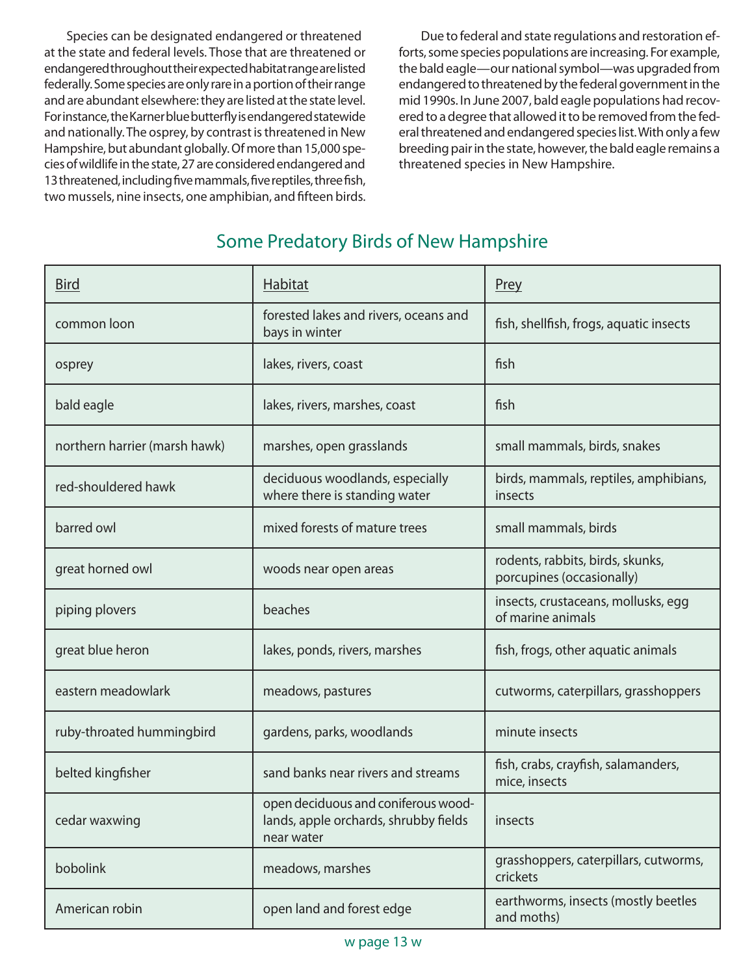Species can be designated endangered or threatened at the state and federal levels. Those that are threatened or endangered throughout their expected habitat range are listed federally. Some species are only rare in a portion of their range and are abundant elsewhere: they are listed at the state level. For instance, the Karner blue butterfly is endangered statewide and nationally. The osprey, by contrast is threatened in New Hampshire, but abundant globally. Of more than 15,000 species of wildlife in the state, 27 are considered endangered and 13 threatened, including five mammals, five reptiles, three fish, two mussels, nine insects, one amphibian, and fifteen birds.

Due to federal and state regulations and restoration efforts, some species populations are increasing. For example, the bald eagle—our national symbol—was upgraded from endangered to threatened by the federal government in the mid 1990s. In June 2007, bald eagle populations had recovered to a degree that allowed it to be removed from the federal threatened and endangered species list. With only a few breeding pair in the state, however, the bald eagle remains a threatened species in New Hampshire.

| <b>Bird</b>                   | Habitat                                                                                    | <b>Prey</b>                                                   |
|-------------------------------|--------------------------------------------------------------------------------------------|---------------------------------------------------------------|
| common loon                   | forested lakes and rivers, oceans and<br>bays in winter                                    | fish, shellfish, frogs, aquatic insects                       |
| osprey                        | lakes, rivers, coast                                                                       | fish                                                          |
| bald eagle                    | lakes, rivers, marshes, coast                                                              | fish                                                          |
| northern harrier (marsh hawk) | marshes, open grasslands                                                                   | small mammals, birds, snakes                                  |
| red-shouldered hawk           | deciduous woodlands, especially<br>where there is standing water                           | birds, mammals, reptiles, amphibians,<br>insects              |
| barred owl                    | mixed forests of mature trees                                                              | small mammals, birds                                          |
| great horned owl              | woods near open areas                                                                      | rodents, rabbits, birds, skunks,<br>porcupines (occasionally) |
| piping plovers                | beaches                                                                                    | insects, crustaceans, mollusks, egg<br>of marine animals      |
| great blue heron              | lakes, ponds, rivers, marshes                                                              | fish, frogs, other aquatic animals                            |
| eastern meadowlark            | meadows, pastures                                                                          | cutworms, caterpillars, grasshoppers                          |
| ruby-throated hummingbird     | gardens, parks, woodlands                                                                  | minute insects                                                |
| belted kingfisher             | sand banks near rivers and streams                                                         | fish, crabs, crayfish, salamanders,<br>mice, insects          |
| cedar waxwing                 | open deciduous and coniferous wood-<br>lands, apple orchards, shrubby fields<br>near water | insects                                                       |
| bobolink                      | meadows, marshes                                                                           | grasshoppers, caterpillars, cutworms,<br>crickets             |
| American robin                | open land and forest edge                                                                  | earthworms, insects (mostly beetles<br>and moths)             |

#### Some Predatory Birds of New Hampshire